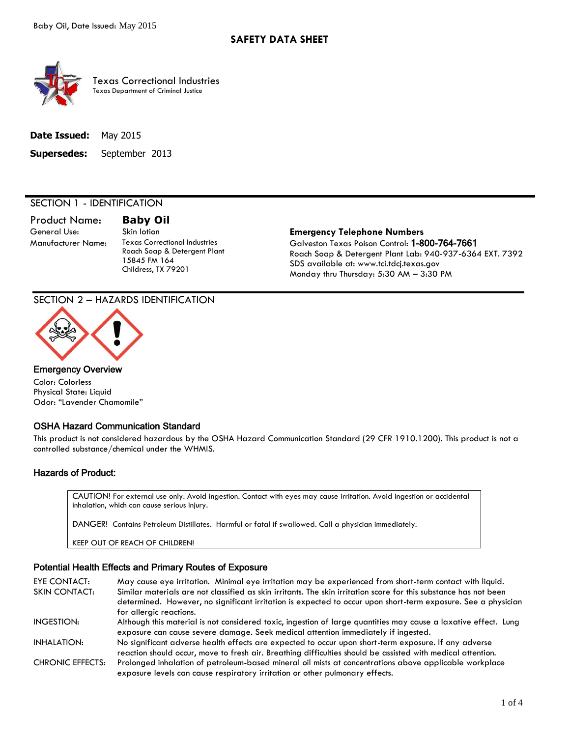

Texas Correctional Industries Texas Department of Criminal Justice

| <b>Date Issued:</b> May 2015 |                                   |
|------------------------------|-----------------------------------|
|                              | <b>Supersedes:</b> September 2013 |

# SECTION 1 - IDENTIFICATION

Product Name: **Baby Oil**

Manufacturer Name: Texas Correctional Industries Roach Soap & Detergent Plant 15845 FM 164 Childress, TX 79201

#### General Use: Skin lotion **Emergency Telephone Numbers** Galveston Texas Poison Control: 1-800-764-7661 Roach Soap & Detergent Plant Lab: 940-937-6364 EXT. 7392

SDS available at: www.tci.tdcj.texas.gov Monday thru Thursday: 5:30 AM – 3:30 PM

## SECTION 2 – HAZARDS IDENTIFICATION



#### Emergency Overview

Color: Colorless Physical State: Liquid Odor: "Lavender Chamomile"

## OSHA Hazard Communication Standard

This product is not considered hazardous by the OSHA Hazard Communication Standard (29 CFR 1910.1200). This product is not a controlled substance/chemical under the WHMIS.

# Hazards of Product:

CAUTION! For external use only. Avoid ingestion. Contact with eyes may cause irritation. Avoid ingestion or accidental inhalation, which can cause serious injury.

DANGER! Contains Petroleum Distillates. Harmful or fatal if swallowed. Call a physician immediately.

KEEP OUT OF REACH OF CHILDREN!

# Potential Health Effects and Primary Routes of Exposure

EYE CONTACT: May cause eye irritation. Minimal eye irritation may be experienced from short-term contact with liquid. SKIN CONTACT: Similar materials are not classified as skin irritants. The skin irritation score for this substance has not been determined. However, no significant irritation is expected to occur upon short-term exposure. See a physician for alleraic reactions. INGESTION: Although this material is not considered toxic, ingestion of large quantities may cause a laxative effect. Lung exposure can cause severe damage. Seek medical attention immediately if ingested. INHALATION: No significant adverse health effects are expected to occur upon short-term exposure. If any adverse reaction should occur, move to fresh air. Breathing difficulties should be assisted with medical attention. CHRONIC EFFECTS: Prolonged inhalation of petroleum-based mineral oil mists at concentrations above applicable workplace exposure levels can cause respiratory irritation or other pulmonary effects.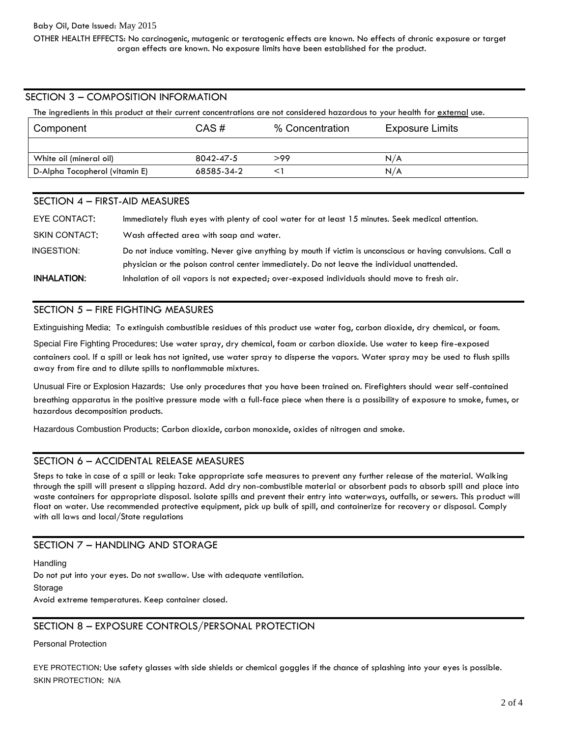OTHER HEALTH EFFECTS: No carcinogenic, mutagenic or teratogenic effects are known. No effects of chronic exposure or target organ effects are known. No exposure limits have been established for the product.

# SECTION 3 – COMPOSITION INFORMATION

The ingredients in this product at their current concentrations are not considered hazardous to your health for external use.

| Component                      | CAS#       | % Concentration | Exposure Limits |
|--------------------------------|------------|-----------------|-----------------|
|                                |            |                 |                 |
| White oil (mineral oil)        | 8042-47-5  | >99             | N/A             |
| D-Alpha Tocopherol (vitamin E) | 68585-34-2 |                 | N/A             |

# SECTION 4 – FIRST-AID MEASURES

| EYE CONTACT:  | Immediately flush eyes with plenty of cool water for at least 15 minutes. Seek medical attention.           |
|---------------|-------------------------------------------------------------------------------------------------------------|
| SKIN CONTACT: | Wash affected area with soap and water.                                                                     |
| INGESTION:    | Do not induce vomiting. Never give anything by mouth if victim is unconscious or having convulsions. Call a |
|               | physician or the poison control center immediately. Do not leave the individual unattended.                 |
| INHALATION:   | Inhalation of oil vapors is not expected; over-exposed individuals should move to fresh air.                |

### SECTION 5 – FIRE FIGHTING MEASURES

Extinguishing Media: To extinguish combustible residues of this product use water fog, carbon dioxide, dry chemical, or foam.

Special Fire Fighting Procedures: Use water spray, dry chemical, foam or carbon dioxide. Use water to keep fire-exposed containers cool. If a spill or leak has not ignited, use water spray to disperse the vapors. Water spray may be used to flush spills away from fire and to dilute spills to nonflammable mixtures.

Unusual Fire or Explosion Hazards: Use only procedures that you have been trained on. Firefighters should wear self-contained breathing apparatus in the positive pressure mode with a full-face piece when there is a possibility of exposure to smoke, fumes, or hazardous decomposition products.

Hazardous Combustion Products: Carbon dioxide, carbon monoxide, oxides of nitrogen and smoke.

## SECTION 6 – ACCIDENTAL RELEASE MEASURES

Steps to take in case of a spill or leak: Take appropriate safe measures to prevent any further release of the material. Walking through the spill will present a slipping hazard. Add dry non-combustible material or absorbent pads to absorb spill and place into waste containers for appropriate disposal. Isolate spills and prevent their entry into waterways, outfalls, or sewers. This product will float on water. Use recommended protective equipment, pick up bulk of spill, and containerize for recovery or disposal. Comply with all laws and local/State regulations

## SECTION 7 – HANDLING AND STORAGE

**Handling** Do not put into your eyes. Do not swallow. Use with adequate ventilation. Storage Avoid extreme temperatures. Keep container closed.

## SECTION 8 – EXPOSURE CONTROLS/PERSONAL PROTECTION

#### Personal Protection

EYE PROTECTION: Use safety glasses with side shields or chemical goggles if the chance of splashing into your eyes is possible. SKIN PROTECTION: N/A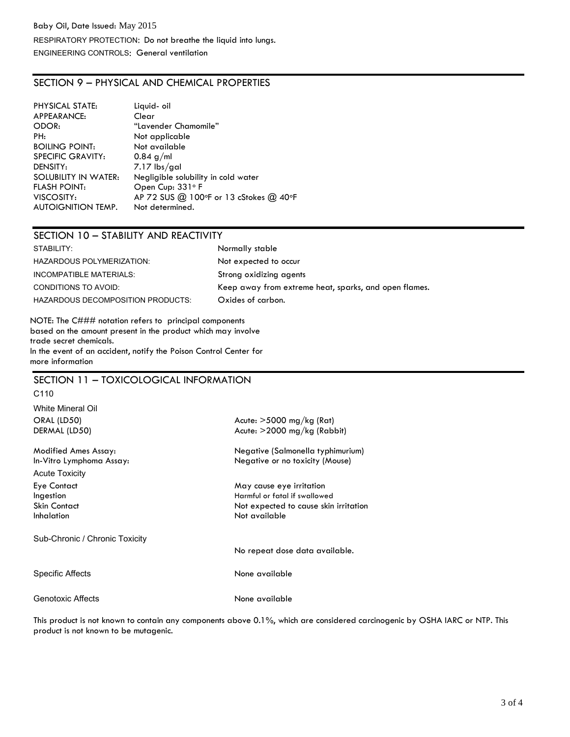# SECTION 9 – PHYSICAL AND CHEMICAL PROPERTIES

| PHYSICAL STATE:           | Liquid-oil                             |
|---------------------------|----------------------------------------|
| APPEARANCE:               | Clear                                  |
| ODOR:                     | "Lavender Chamomile"                   |
| PH:                       | Not applicable                         |
| <b>BOILING POINT:</b>     | Not available                          |
| <b>SPECIFIC GRAVITY:</b>  | $0.84$ g/ml                            |
| DENSITY:                  | 7.17 lbs/gal                           |
| SOLUBILITY IN WATER:      | Negligible solubility in cold water    |
| <b>FLASH POINT:</b>       | Open Cup: 331°F                        |
| VISCOSITY:                | AP 72 SUS @ 100°F or 13 cStokes @ 40°F |
| <b>AUTOIGNITION TEMP.</b> | Not determined.                        |

# SECTION 10 – STABILITY AND REACTIVITY

| STABILITY:                        | Normally stable                                       |
|-----------------------------------|-------------------------------------------------------|
| HAZARDOUS POLYMERIZATION:         | Not expected to occur                                 |
| INCOMPATIBLE MATERIALS:           | Strong oxidizing agents                               |
| CONDITIONS TO AVOID:              | Keep away from extreme heat, sparks, and open flames. |
| HAZARDOUS DECOMPOSITION PRODUCTS: | Oxides of carbon.                                     |

NOTE: The C### notation refers to principal components based on the amount present in the product which may involve trade secret chemicals. In the event of an accident, notify the Poison Control Center for more information

# SECTION 11 – TOXICOLOGICAL INFORMATION

| C <sub>110</sub>                                                            |                                                                                                                     |
|-----------------------------------------------------------------------------|---------------------------------------------------------------------------------------------------------------------|
| White Mineral Oil<br>ORAL (LD50)<br>DERMAL (LD50)                           | Acute: $>5000$ mg/kg (Rat)<br>Acute: $>$ 2000 mg/kg (Rabbit)                                                        |
| Modified Ames Assay:<br>In-Vitro Lymphoma Assay:                            | Negative (Salmonella typhimurium)<br>Negative or no toxicity (Mouse)                                                |
| <b>Acute Toxicity</b>                                                       |                                                                                                                     |
| <b>Eye Contact</b><br>Ingestion<br><b>Skin Contact</b><br><b>Inhalation</b> | May cause eye irritation<br>Harmful or fatal if swallowed<br>Not expected to cause skin irritation<br>Not available |
| Sub-Chronic / Chronic Toxicity                                              |                                                                                                                     |
|                                                                             | No repeat dose data available.                                                                                      |
| Specific Affects                                                            | None available                                                                                                      |
| Genotoxic Affects                                                           | None available                                                                                                      |

This product is not known to contain any components above 0.1%, which are considered carcinogenic by OSHA IARC or NTP. This product is not known to be mutagenic.